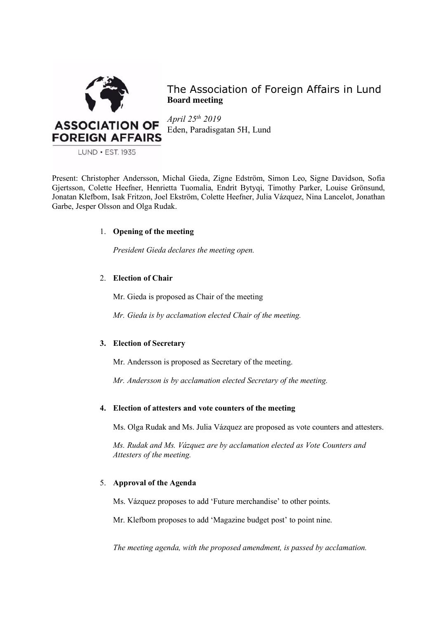

The Association of Foreign Affairs in Lund **Board meeting**

*April 25th 2019* Eden, Paradisgatan 5H, Lund

Present: Christopher Andersson, Michal Gieda, Zigne Edström, Simon Leo, Signe Davidson, Sofia Gjertsson, Colette Heefner, Henrietta Tuomalia, Endrit Bytyqi, Timothy Parker, Louise Grönsund, Jonatan Klefbom, Isak Fritzon, Joel Ekström, Colette Heefner, Julia Vázquez, Nina Lancelot, Jonathan Garbe, Jesper Olsson and Olga Rudak.

# 1. **Opening of the meeting**

*President Gieda declares the meeting open.*

# 2. **Election of Chair**

Mr. Gieda is proposed as Chair of the meeting

*Mr. Gieda is by acclamation elected Chair of the meeting.*

# **3. Election of Secretary**

Mr. Andersson is proposed as Secretary of the meeting.

*Mr. Andersson is by acclamation elected Secretary of the meeting.*

# **4. Election of attesters and vote counters of the meeting**

Ms. Olga Rudak and Ms. Julia Vázquez are proposed as vote counters and attesters.

*Ms. Rudak and Ms. Vázquez are by acclamation elected as Vote Counters and Attesters of the meeting.* 

# 5. **Approval of the Agenda**

Ms. Vázquez proposes to add 'Future merchandise' to other points.

Mr. Klefbom proposes to add 'Magazine budget post' to point nine.

*The meeting agenda, with the proposed amendment, is passed by acclamation.*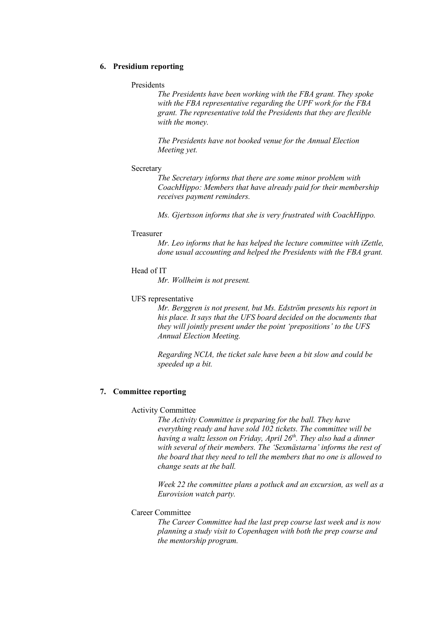# **6. Presidium reporting**

## Presidents

*The Presidents have been working with the FBA grant. They spoke with the FBA representative regarding the UPF work for the FBA grant. The representative told the Presidents that they are flexible with the money.* 

*The Presidents have not booked venue for the Annual Election Meeting yet.* 

#### **Secretary**

*The Secretary informs that there are some minor problem with CoachHippo: Members that have already paid for their membership receives payment reminders.* 

*Ms. Gjertsson informs that she is very frustrated with CoachHippo.* 

#### Treasurer

*Mr. Leo informs that he has helped the lecture committee with iZettle, done usual accounting and helped the Presidents with the FBA grant.* 

## Head of IT

*Mr. Wollheim is not present.* 

### UFS representative

*Mr. Berggren is not present, but Ms. Edström presents his report in his place. It says that the UFS board decided on the documents that they will jointly present under the point 'prepositions' to the UFS Annual Election Meeting.*

*Regarding NCIA, the ticket sale have been a bit slow and could be speeded up a bit.* 

# **7. Committee reporting**

#### Activity Committee

*The Activity Committee is preparing for the ball. They have everything ready and have sold 102 tickets. The committee will be having a waltz lesson on Friday, April 26th. They also had a dinner with several of their members. The 'Sexmästarna' informs the rest of the board that they need to tell the members that no one is allowed to change seats at the ball.* 

*Week 22 the committee plans a potluck and an excursion, as well as a Eurovision watch party.* 

## Career Committee

*The Career Committee had the last prep course last week and is now planning a study visit to Copenhagen with both the prep course and the mentorship program.*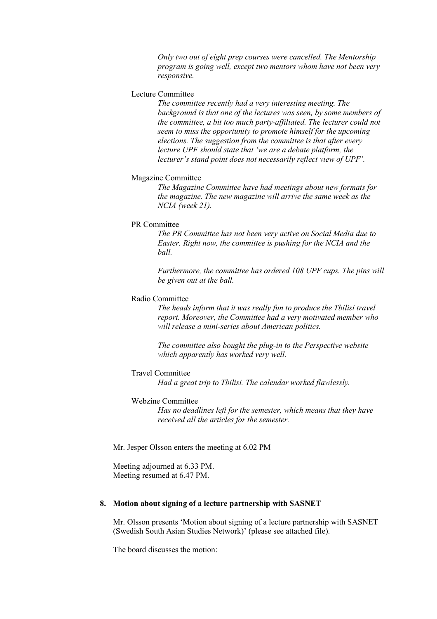*Only two out of eight prep courses were cancelled. The Mentorship program is going well, except two mentors whom have not been very responsive.* 

# Lecture Committee

*The committee recently had a very interesting meeting. The background is that one of the lectures was seen, by some members of the committee, a bit too much party-affiliated. The lecturer could not seem to miss the opportunity to promote himself for the upcoming elections. The suggestion from the committee is that after every lecture UPF should state that 'we are a debate platform, the lecturer's stand point does not necessarily reflect view of UPF'.*

## Magazine Committee

*The Magazine Committee have had meetings about new formats for the magazine. The new magazine will arrive the same week as the NCIA (week 21).* 

### PR Committee

*The PR Committee has not been very active on Social Media due to Easter. Right now, the committee is pushing for the NCIA and the ball.* 

*Furthermore, the committee has ordered 108 UPF cups. The pins will be given out at the ball.* 

### Radio Committee

*The heads inform that it was really fun to produce the Tbilisi travel report. Moreover, the Committee had a very motivated member who will release a mini-series about American politics.* 

*The committee also bought the plug-in to the Perspective website which apparently has worked very well.* 

#### Travel Committee

*Had a great trip to Tbilisi. The calendar worked flawlessly.*

# Webzine Committee

*Has no deadlines left for the semester, which means that they have received all the articles for the semester.* 

Mr. Jesper Olsson enters the meeting at 6.02 PM

Meeting adjourned at 6.33 PM. Meeting resumed at 6.47 PM.

### **8. Motion about signing of a lecture partnership with SASNET**

Mr. Olsson presents 'Motion about signing of a lecture partnership with SASNET (Swedish South Asian Studies Network)' (please see attached file).

The board discusses the motion: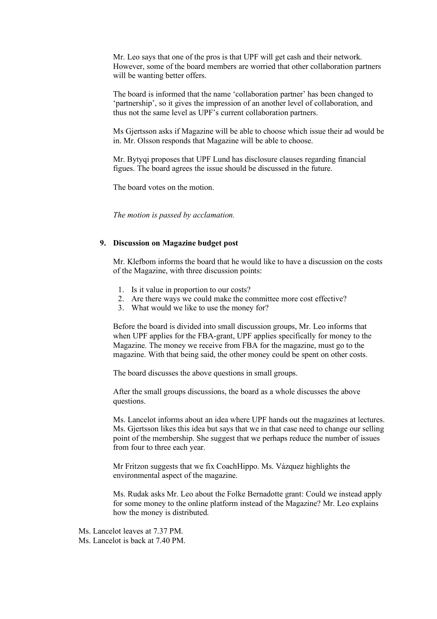Mr. Leo says that one of the pros is that UPF will get cash and their network. However, some of the board members are worried that other collaboration partners will be wanting better offers.

The board is informed that the name 'collaboration partner' has been changed to 'partnership', so it gives the impression of an another level of collaboration, and thus not the same level as UPF's current collaboration partners.

Ms Gjertsson asks if Magazine will be able to choose which issue their ad would be in. Mr. Olsson responds that Magazine will be able to choose.

Mr. Bytyqi proposes that UPF Lund has disclosure clauses regarding financial figues. The board agrees the issue should be discussed in the future.

The board votes on the motion.

*The motion is passed by acclamation.* 

#### **9. Discussion on Magazine budget post**

Mr. Klefbom informs the board that he would like to have a discussion on the costs of the Magazine, with three discussion points:

- 1. Is it value in proportion to our costs?
- 2. Are there ways we could make the committee more cost effective?
- 3. What would we like to use the money for?

Before the board is divided into small discussion groups, Mr. Leo informs that when UPF applies for the FBA-grant, UPF applies specifically for money to the Magazine. The money we receive from FBA for the magazine, must go to the magazine. With that being said, the other money could be spent on other costs.

The board discusses the above questions in small groups.

After the small groups discussions, the board as a whole discusses the above questions.

Ms. Lancelot informs about an idea where UPF hands out the magazines at lectures. Ms. Gjertsson likes this idea but says that we in that case need to change our selling point of the membership. She suggest that we perhaps reduce the number of issues from four to three each year.

Mr Fritzon suggests that we fix CoachHippo. Ms. Vázquez highlights the environmental aspect of the magazine.

Ms. Rudak asks Mr. Leo about the Folke Bernadotte grant: Could we instead apply for some money to the online platform instead of the Magazine? Mr. Leo explains how the money is distributed.

Ms. Lancelot leaves at 7.37 PM. Ms. Lancelot is back at 7.40 PM.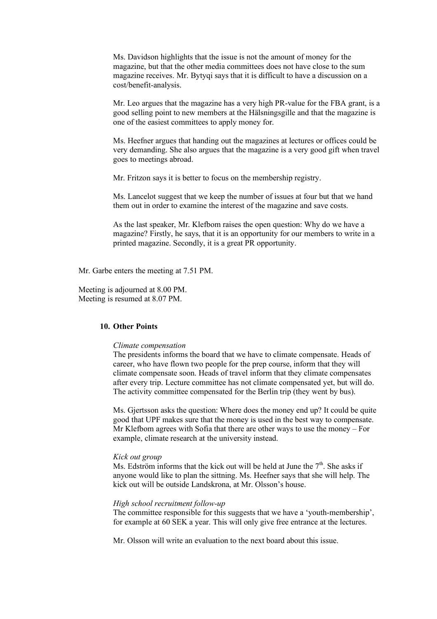Ms. Davidson highlights that the issue is not the amount of money for the magazine, but that the other media committees does not have close to the sum magazine receives. Mr. Bytyqi says that it is difficult to have a discussion on a cost/benefit-analysis.

Mr. Leo argues that the magazine has a very high PR-value for the FBA grant, is a good selling point to new members at the Hälsningsgille and that the magazine is one of the easiest committees to apply money for.

Ms. Heefner argues that handing out the magazines at lectures or offices could be very demanding. She also argues that the magazine is a very good gift when travel goes to meetings abroad.

Mr. Fritzon says it is better to focus on the membership registry.

Ms. Lancelot suggest that we keep the number of issues at four but that we hand them out in order to examine the interest of the magazine and save costs.

As the last speaker, Mr. Klefbom raises the open question: Why do we have a magazine? Firstly, he says, that it is an opportunity for our members to write in a printed magazine. Secondly, it is a great PR opportunity.

Mr. Garbe enters the meeting at 7.51 PM.

Meeting is adjourned at 8.00 PM. Meeting is resumed at 8.07 PM.

# **10. Other Points**

#### *Climate compensation*

The presidents informs the board that we have to climate compensate. Heads of career, who have flown two people for the prep course, inform that they will climate compensate soon. Heads of travel inform that they climate compensates after every trip. Lecture committee has not climate compensated yet, but will do. The activity committee compensated for the Berlin trip (they went by bus).

Ms. Gjertsson asks the question: Where does the money end up? It could be quite good that UPF makes sure that the money is used in the best way to compensate. Mr Klefbom agrees with Sofia that there are other ways to use the money – For example, climate research at the university instead.

#### *Kick out group*

Ms. Edström informs that the kick out will be held at June the  $7<sup>th</sup>$ . She asks if anyone would like to plan the sittning. Ms. Heefner says that she will help. The kick out will be outside Landskrona, at Mr. Olsson's house.

### *High school recruitment follow-up*

The committee responsible for this suggests that we have a 'youth-membership', for example at 60 SEK a year. This will only give free entrance at the lectures.

Mr. Olsson will write an evaluation to the next board about this issue.